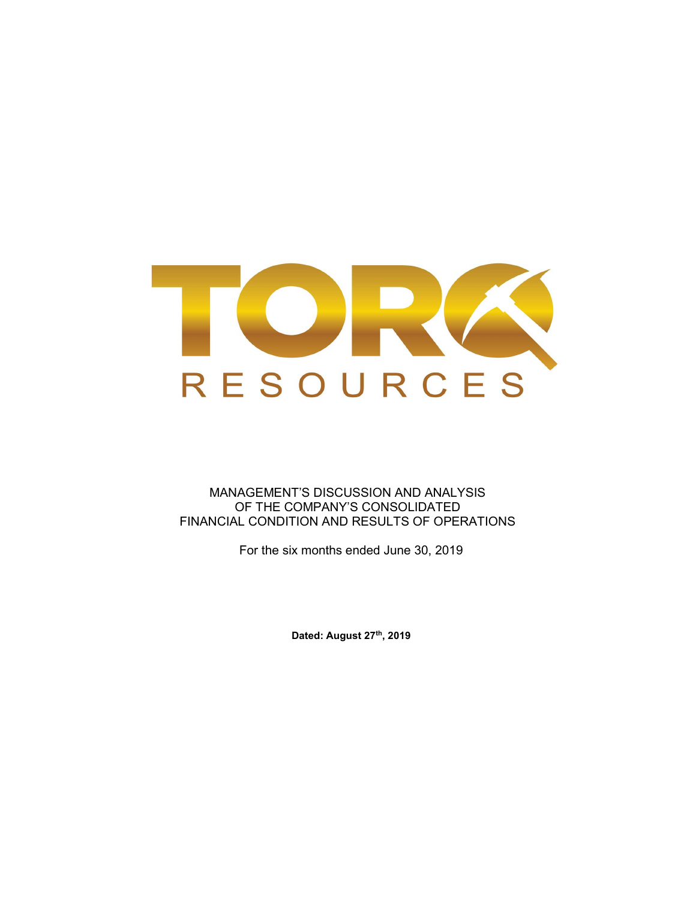

MANAGEMENT'S DISCUSSION AND ANALYSIS OF THE COMPANY'S CONSOLIDATED FINANCIAL CONDITION AND RESULTS OF OPERATIONS

For the six months ended June 30, 2019

Dated: August 27th, 2019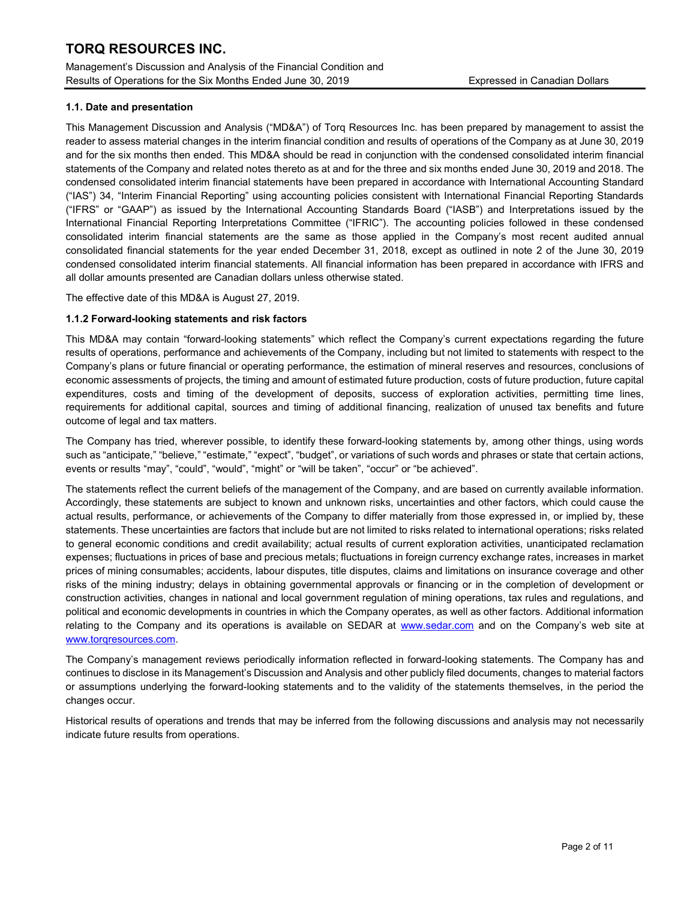Management's Discussion and Analysis of the Financial Condition and Results of Operations for the Six Months Ended June 30, 2019 Expressed in Canadian Dollars

## 1.1. Date and presentation

This Management Discussion and Analysis ("MD&A") of Torq Resources Inc. has been prepared by management to assist the reader to assess material changes in the interim financial condition and results of operations of the Company as at June 30, 2019 and for the six months then ended. This MD&A should be read in conjunction with the condensed consolidated interim financial statements of the Company and related notes thereto as at and for the three and six months ended June 30, 2019 and 2018. The condensed consolidated interim financial statements have been prepared in accordance with International Accounting Standard ("IAS") 34, "Interim Financial Reporting" using accounting policies consistent with International Financial Reporting Standards ("IFRS" or "GAAP") as issued by the International Accounting Standards Board ("IASB") and Interpretations issued by the International Financial Reporting Interpretations Committee ("IFRIC"). The accounting policies followed in these condensed consolidated interim financial statements are the same as those applied in the Company's most recent audited annual consolidated financial statements for the year ended December 31, 2018, except as outlined in note 2 of the June 30, 2019 condensed consolidated interim financial statements. All financial information has been prepared in accordance with IFRS and all dollar amounts presented are Canadian dollars unless otherwise stated.

The effective date of this MD&A is August 27, 2019.

## 1.1.2 Forward-looking statements and risk factors

This MD&A may contain "forward-looking statements" which reflect the Company's current expectations regarding the future results of operations, performance and achievements of the Company, including but not limited to statements with respect to the Company's plans or future financial or operating performance, the estimation of mineral reserves and resources, conclusions of economic assessments of projects, the timing and amount of estimated future production, costs of future production, future capital expenditures, costs and timing of the development of deposits, success of exploration activities, permitting time lines, requirements for additional capital, sources and timing of additional financing, realization of unused tax benefits and future outcome of legal and tax matters.

The Company has tried, wherever possible, to identify these forward-looking statements by, among other things, using words such as "anticipate," "believe," "estimate," "expect", "budget", or variations of such words and phrases or state that certain actions, events or results "may", "could", "would", "might" or "will be taken", "occur" or "be achieved".

The statements reflect the current beliefs of the management of the Company, and are based on currently available information. Accordingly, these statements are subject to known and unknown risks, uncertainties and other factors, which could cause the actual results, performance, or achievements of the Company to differ materially from those expressed in, or implied by, these statements. These uncertainties are factors that include but are not limited to risks related to international operations; risks related to general economic conditions and credit availability; actual results of current exploration activities, unanticipated reclamation expenses; fluctuations in prices of base and precious metals; fluctuations in foreign currency exchange rates, increases in market prices of mining consumables; accidents, labour disputes, title disputes, claims and limitations on insurance coverage and other risks of the mining industry; delays in obtaining governmental approvals or financing or in the completion of development or construction activities, changes in national and local government regulation of mining operations, tax rules and regulations, and political and economic developments in countries in which the Company operates, as well as other factors. Additional information relating to the Company and its operations is available on SEDAR at www.sedar.com and on the Company's web site at www.torqresources.com.

The Company's management reviews periodically information reflected in forward-looking statements. The Company has and continues to disclose in its Management's Discussion and Analysis and other publicly filed documents, changes to material factors or assumptions underlying the forward-looking statements and to the validity of the statements themselves, in the period the changes occur.

Historical results of operations and trends that may be inferred from the following discussions and analysis may not necessarily indicate future results from operations.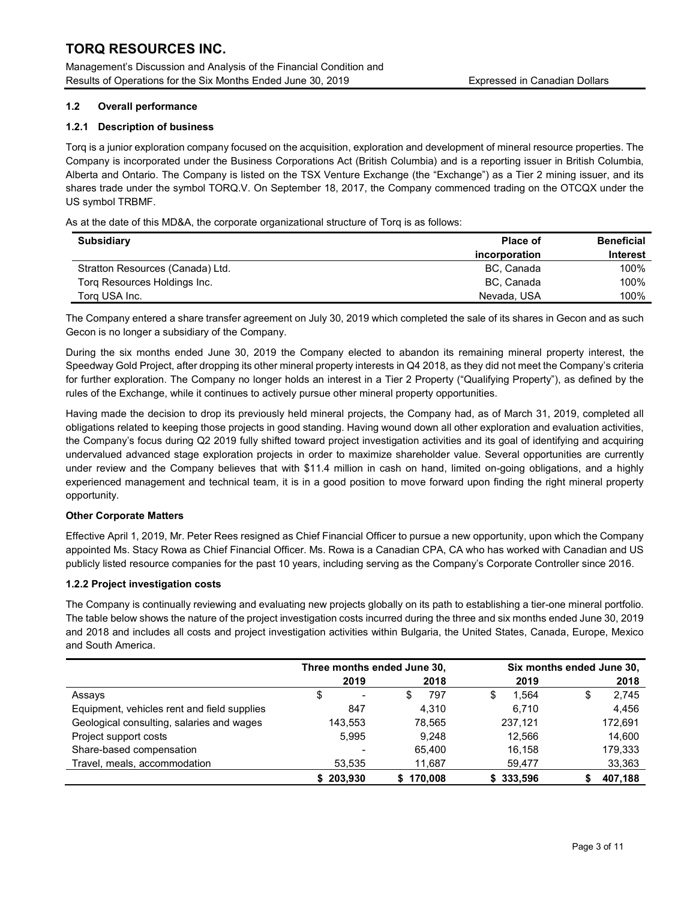Management's Discussion and Analysis of the Financial Condition and Results of Operations for the Six Months Ended June 30, 2019 Expressed in Canadian Dollars

## 1.2 Overall performance

## 1.2.1 Description of business

Torq is a junior exploration company focused on the acquisition, exploration and development of mineral resource properties. The Company is incorporated under the Business Corporations Act (British Columbia) and is a reporting issuer in British Columbia, Alberta and Ontario. The Company is listed on the TSX Venture Exchange (the "Exchange") as a Tier 2 mining issuer, and its shares trade under the symbol TORQ.V. On September 18, 2017, the Company commenced trading on the OTCQX under the US symbol TRBMF.

As at the date of this MD&A, the corporate organizational structure of Torq is as follows:

| <b>Subsidiary</b>                | Place of      | Beneficial |
|----------------------------------|---------------|------------|
|                                  | incorporation | Interest   |
| Stratton Resources (Canada) Ltd. | BC, Canada    | 100%       |
| Torq Resources Holdings Inc.     | BC. Canada    | 100%       |
| Torg USA Inc.                    | Nevada, USA   | 100%       |

The Company entered a share transfer agreement on July 30, 2019 which completed the sale of its shares in Gecon and as such Gecon is no longer a subsidiary of the Company.

During the six months ended June 30, 2019 the Company elected to abandon its remaining mineral property interest, the Speedway Gold Project, after dropping its other mineral property interests in Q4 2018, as they did not meet the Company's criteria for further exploration. The Company no longer holds an interest in a Tier 2 Property ("Qualifying Property"), as defined by the rules of the Exchange, while it continues to actively pursue other mineral property opportunities.

Having made the decision to drop its previously held mineral projects, the Company had, as of March 31, 2019, completed all obligations related to keeping those projects in good standing. Having wound down all other exploration and evaluation activities, the Company's focus during Q2 2019 fully shifted toward project investigation activities and its goal of identifying and acquiring undervalued advanced stage exploration projects in order to maximize shareholder value. Several opportunities are currently under review and the Company believes that with \$11.4 million in cash on hand, limited on-going obligations, and a highly experienced management and technical team, it is in a good position to move forward upon finding the right mineral property opportunity.

## Other Corporate Matters

Effective April 1, 2019, Mr. Peter Rees resigned as Chief Financial Officer to pursue a new opportunity, upon which the Company appointed Ms. Stacy Rowa as Chief Financial Officer. Ms. Rowa is a Canadian CPA, CA who has worked with Canadian and US publicly listed resource companies for the past 10 years, including serving as the Company's Corporate Controller since 2016.

## 1.2.2 Project investigation costs

The Company is continually reviewing and evaluating new projects globally on its path to establishing a tier-one mineral portfolio. The table below shows the nature of the project investigation costs incurred during the three and six months ended June 30, 2019 and 2018 and includes all costs and project investigation activities within Bulgaria, the United States, Canada, Europe, Mexico and South America.

|                                             | Three months ended June 30, |           | Six months ended June 30, |            |
|---------------------------------------------|-----------------------------|-----------|---------------------------|------------|
|                                             | 2019                        | 2018      | 2019                      | 2018       |
| Assays                                      | \$<br>$\blacksquare$        | 797<br>S  | 1.564<br>S                | 2,745<br>S |
| Equipment, vehicles rent and field supplies | 847                         | 4.310     | 6.710                     | 4,456      |
| Geological consulting, salaries and wages   | 143,553                     | 78.565    | 237,121                   | 172,691    |
| Project support costs                       | 5.995                       | 9.248     | 12.566                    | 14,600     |
| Share-based compensation                    | $\overline{\phantom{0}}$    | 65.400    | 16.158                    | 179,333    |
| Travel, meals, accommodation                | 53.535                      | 11.687    | 59.477                    | 33,363     |
|                                             | \$203.930                   | \$170.008 | \$333,596                 | 407.188    |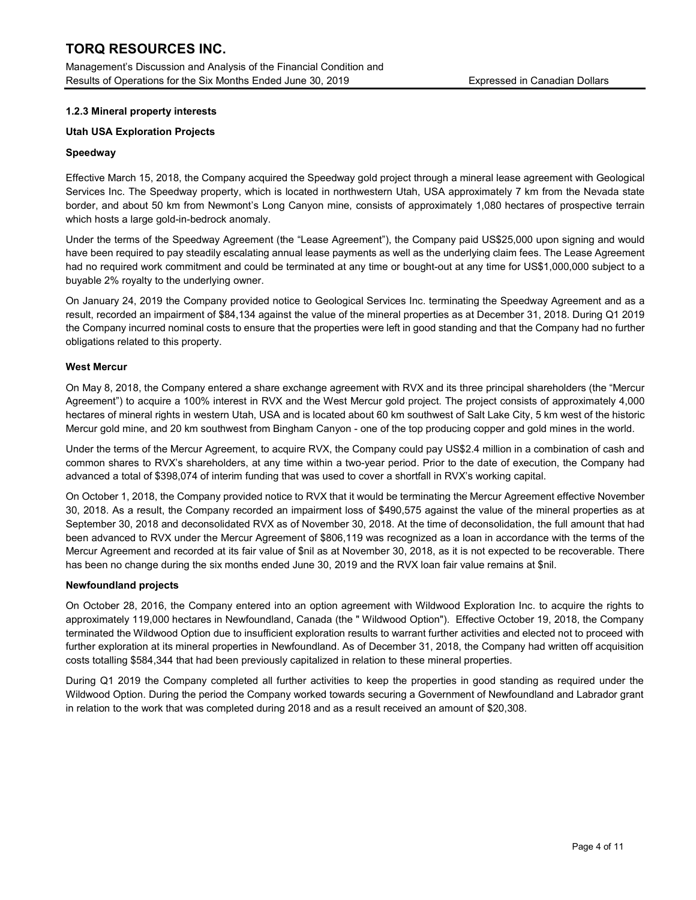Management's Discussion and Analysis of the Financial Condition and Results of Operations for the Six Months Ended June 30, 2019 Expressed in Canadian Dollars

## 1.2.3 Mineral property interests

## Utah USA Exploration Projects

## Speedway

Effective March 15, 2018, the Company acquired the Speedway gold project through a mineral lease agreement with Geological Services Inc. The Speedway property, which is located in northwestern Utah, USA approximately 7 km from the Nevada state border, and about 50 km from Newmont's Long Canyon mine, consists of approximately 1,080 hectares of prospective terrain which hosts a large gold-in-bedrock anomaly.

Under the terms of the Speedway Agreement (the "Lease Agreement"), the Company paid US\$25,000 upon signing and would have been required to pay steadily escalating annual lease payments as well as the underlying claim fees. The Lease Agreement had no required work commitment and could be terminated at any time or bought-out at any time for US\$1,000,000 subject to a buyable 2% royalty to the underlying owner.

On January 24, 2019 the Company provided notice to Geological Services Inc. terminating the Speedway Agreement and as a result, recorded an impairment of \$84,134 against the value of the mineral properties as at December 31, 2018. During Q1 2019 the Company incurred nominal costs to ensure that the properties were left in good standing and that the Company had no further obligations related to this property.

## West Mercur

On May 8, 2018, the Company entered a share exchange agreement with RVX and its three principal shareholders (the "Mercur Agreement") to acquire a 100% interest in RVX and the West Mercur gold project. The project consists of approximately 4,000 hectares of mineral rights in western Utah, USA and is located about 60 km southwest of Salt Lake City, 5 km west of the historic Mercur gold mine, and 20 km southwest from Bingham Canyon - one of the top producing copper and gold mines in the world.

Under the terms of the Mercur Agreement, to acquire RVX, the Company could pay US\$2.4 million in a combination of cash and common shares to RVX's shareholders, at any time within a two-year period. Prior to the date of execution, the Company had advanced a total of \$398,074 of interim funding that was used to cover a shortfall in RVX's working capital.

On October 1, 2018, the Company provided notice to RVX that it would be terminating the Mercur Agreement effective November 30, 2018. As a result, the Company recorded an impairment loss of \$490,575 against the value of the mineral properties as at September 30, 2018 and deconsolidated RVX as of November 30, 2018. At the time of deconsolidation, the full amount that had been advanced to RVX under the Mercur Agreement of \$806,119 was recognized as a loan in accordance with the terms of the Mercur Agreement and recorded at its fair value of \$nil as at November 30, 2018, as it is not expected to be recoverable. There has been no change during the six months ended June 30, 2019 and the RVX loan fair value remains at \$nil.

## Newfoundland projects

On October 28, 2016, the Company entered into an option agreement with Wildwood Exploration Inc. to acquire the rights to approximately 119,000 hectares in Newfoundland, Canada (the " Wildwood Option"). Effective October 19, 2018, the Company terminated the Wildwood Option due to insufficient exploration results to warrant further activities and elected not to proceed with further exploration at its mineral properties in Newfoundland. As of December 31, 2018, the Company had written off acquisition costs totalling \$584,344 that had been previously capitalized in relation to these mineral properties.

During Q1 2019 the Company completed all further activities to keep the properties in good standing as required under the Wildwood Option. During the period the Company worked towards securing a Government of Newfoundland and Labrador grant in relation to the work that was completed during 2018 and as a result received an amount of \$20,308.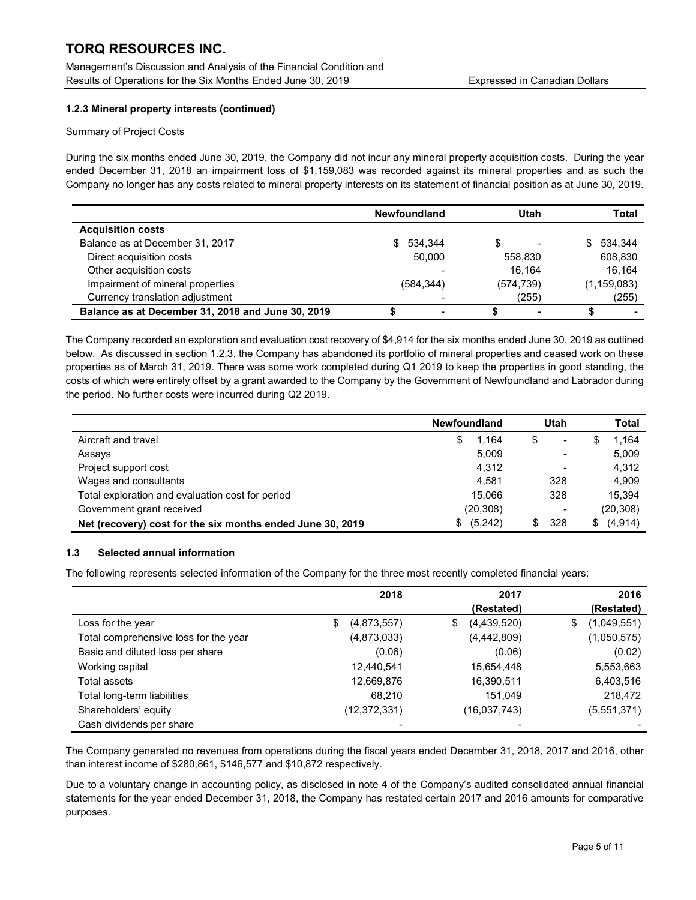Management's Discussion and Analysis of the Financial Condition and Results of Operations for the Six Months Ended June 30, 2019 **Expressed in Canadian Dollars** 

## 1.2.3 Mineral property interests (continued)

## Summary of Project Costs

During the six months ended June 30, 2019, the Company did not incur any mineral property acquisition costs. During the year ended December 31, 2018 an impairment loss of \$1,159,083 was recorded against its mineral properties and as such the Company no longer has any costs related to mineral property interests on its statement of financial position as at June 30, 2019.

|                                                   | <b>Newfoundland</b> | Utah       | Total         |
|---------------------------------------------------|---------------------|------------|---------------|
| <b>Acquisition costs</b>                          |                     |            |               |
| Balance as at December 31, 2017                   | 534.344<br>S.       | S          | 534.344<br>S. |
| Direct acquisition costs                          | 50.000              | 558.830    | 608,830       |
| Other acquisition costs                           |                     | 16.164     | 16.164        |
| Impairment of mineral properties                  | (584,344)           | (574, 739) | (1, 159, 083) |
| Currency translation adjustment                   |                     | (255)      | (255)         |
| Balance as at December 31, 2018 and June 30, 2019 | -                   | ۰          |               |

The Company recorded an exploration and evaluation cost recovery of \$4,914 for the six months ended June 30, 2019 as outlined below. As discussed in section 1.2.3, the Company has abandoned its portfolio of mineral properties and ceased work on these properties as of March 31, 2019. There was some work completed during Q1 2019 to keep the properties in good standing, the costs of which were entirely offset by a grant awarded to the Company by the Government of Newfoundland and Labrador during the period. No further costs were incurred during Q2 2019.

|                                                            | <b>Newfoundland</b> | Utah                     | Total          |
|------------------------------------------------------------|---------------------|--------------------------|----------------|
| Aircraft and travel                                        | 1.164<br>S          | \$                       | 1,164          |
| Assays                                                     | 5,009               |                          | 5,009          |
| Project support cost                                       | 4.312               | $\overline{\phantom{0}}$ | 4,312          |
| Wages and consultants                                      | 4.581               | 328                      | 4,909          |
| Total exploration and evaluation cost for period           | 15.066              | 328                      | 15.394         |
| Government grant received                                  | (20,308)            |                          | (20, 308)      |
| Net (recovery) cost for the six months ended June 30, 2019 | (5,242)<br>\$       | 328<br>\$                | (4, 914)<br>S. |

## 1.3 Selected annual information

The following represents selected information of the Company for the three most recently completed financial years:

|                                       | 2018              | 2017              | 2016              |
|---------------------------------------|-------------------|-------------------|-------------------|
|                                       |                   | (Restated)        | (Restated)        |
| Loss for the year                     | \$<br>(4,873,557) | (4,439,520)<br>\$ | (1,049,551)<br>\$ |
| Total comprehensive loss for the year | (4,873,033)       | (4,442,809)       | (1,050,575)       |
| Basic and diluted loss per share      | (0.06)            | (0.06)            | (0.02)            |
| Working capital                       | 12,440,541        | 15,654,448        | 5,553,663         |
| Total assets                          | 12,669,876        | 16,390,511        | 6,403,516         |
| Total long-term liabilities           | 68.210            | 151.049           | 218,472           |
| Shareholders' equity                  | (12,372,331)      | (16,037,743)      | (5,551,371)       |
| Cash dividends per share              |                   |                   |                   |

The Company generated no revenues from operations during the fiscal years ended December 31, 2018, 2017 and 2016, other than interest income of \$280,861, \$146,577 and \$10,872 respectively.

Due to a voluntary change in accounting policy, as disclosed in note 4 of the Company's audited consolidated annual financial statements for the year ended December 31, 2018, the Company has restated certain 2017 and 2016 amounts for comparative purposes.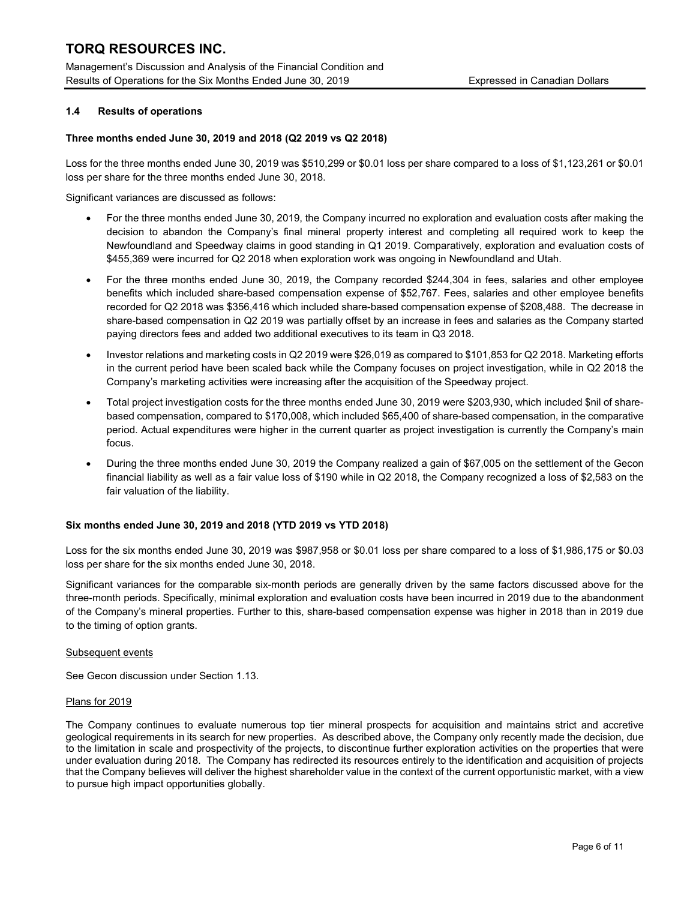Management's Discussion and Analysis of the Financial Condition and Results of Operations for the Six Months Ended June 30, 2019 Expressed in Canadian Dollars

## 1.4 Results of operations

## Three months ended June 30, 2019 and 2018 (Q2 2019 vs Q2 2018)

Loss for the three months ended June 30, 2019 was \$510,299 or \$0.01 loss per share compared to a loss of \$1,123,261 or \$0.01 loss per share for the three months ended June 30, 2018.

Significant variances are discussed as follows:

- For the three months ended June 30, 2019, the Company incurred no exploration and evaluation costs after making the decision to abandon the Company's final mineral property interest and completing all required work to keep the Newfoundland and Speedway claims in good standing in Q1 2019. Comparatively, exploration and evaluation costs of \$455,369 were incurred for Q2 2018 when exploration work was ongoing in Newfoundland and Utah.
- For the three months ended June 30, 2019, the Company recorded \$244,304 in fees, salaries and other employee benefits which included share-based compensation expense of \$52,767. Fees, salaries and other employee benefits recorded for Q2 2018 was \$356,416 which included share-based compensation expense of \$208,488. The decrease in share-based compensation in Q2 2019 was partially offset by an increase in fees and salaries as the Company started paying directors fees and added two additional executives to its team in Q3 2018.
- Investor relations and marketing costs in Q2 2019 were \$26,019 as compared to \$101,853 for Q2 2018. Marketing efforts in the current period have been scaled back while the Company focuses on project investigation, while in Q2 2018 the Company's marketing activities were increasing after the acquisition of the Speedway project.
- Total project investigation costs for the three months ended June 30, 2019 were \$203,930, which included \$nil of sharebased compensation, compared to \$170,008, which included \$65,400 of share-based compensation, in the comparative period. Actual expenditures were higher in the current quarter as project investigation is currently the Company's main focus.
- During the three months ended June 30, 2019 the Company realized a gain of \$67,005 on the settlement of the Gecon financial liability as well as a fair value loss of \$190 while in Q2 2018, the Company recognized a loss of \$2,583 on the fair valuation of the liability.

## Six months ended June 30, 2019 and 2018 (YTD 2019 vs YTD 2018)

Loss for the six months ended June 30, 2019 was \$987,958 or \$0.01 loss per share compared to a loss of \$1,986,175 or \$0.03 loss per share for the six months ended June 30, 2018.

Significant variances for the comparable six-month periods are generally driven by the same factors discussed above for the three-month periods. Specifically, minimal exploration and evaluation costs have been incurred in 2019 due to the abandonment of the Company's mineral properties. Further to this, share-based compensation expense was higher in 2018 than in 2019 due to the timing of option grants.

## Subsequent events

See Gecon discussion under Section 1.13.

## Plans for 2019

The Company continues to evaluate numerous top tier mineral prospects for acquisition and maintains strict and accretive geological requirements in its search for new properties. As described above, the Company only recently made the decision, due to the limitation in scale and prospectivity of the projects, to discontinue further exploration activities on the properties that were under evaluation during 2018. The Company has redirected its resources entirely to the identification and acquisition of projects that the Company believes will deliver the highest shareholder value in the context of the current opportunistic market, with a view to pursue high impact opportunities globally.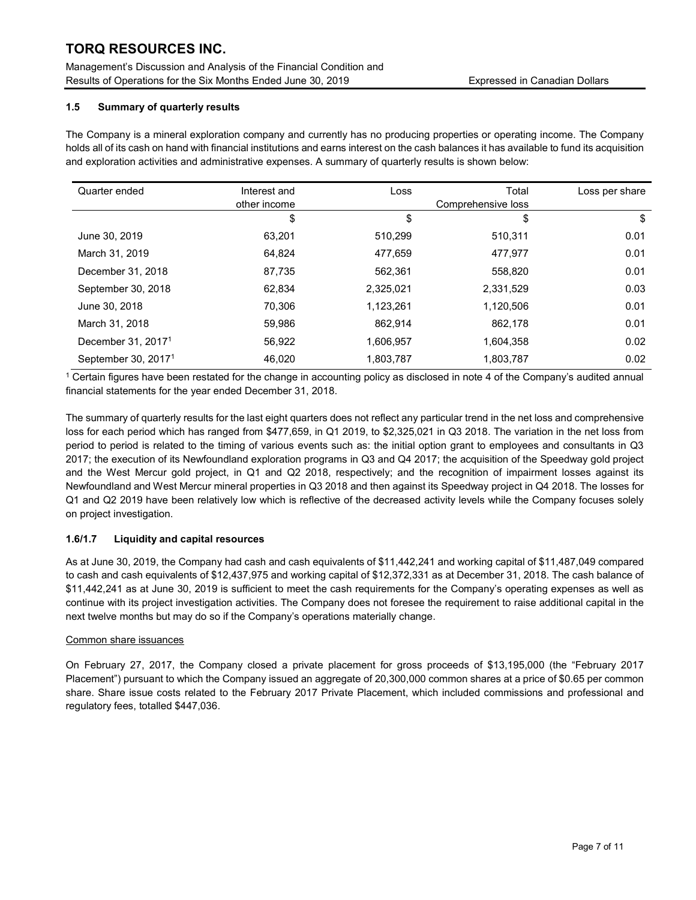Management's Discussion and Analysis of the Financial Condition and Results of Operations for the Six Months Ended June 30, 2019 Expressed in Canadian Dollars

## 1.5 Summary of quarterly results

The Company is a mineral exploration company and currently has no producing properties or operating income. The Company holds all of its cash on hand with financial institutions and earns interest on the cash balances it has available to fund its acquisition and exploration activities and administrative expenses. A summary of quarterly results is shown below:

| Quarter ended                   | Interest and<br>other income | Loss      | Total<br>Comprehensive loss | Loss per share |
|---------------------------------|------------------------------|-----------|-----------------------------|----------------|
|                                 | \$                           | \$        | \$                          | \$             |
| June 30, 2019                   | 63.201                       | 510.299   | 510.311                     | 0.01           |
| March 31, 2019                  | 64.824                       | 477,659   | 477.977                     | 0.01           |
| December 31, 2018               | 87.735                       | 562.361   | 558.820                     | 0.01           |
| September 30, 2018              | 62,834                       | 2,325,021 | 2,331,529                   | 0.03           |
| June 30, 2018                   | 70.306                       | 1,123,261 | 1,120,506                   | 0.01           |
| March 31, 2018                  | 59.986                       | 862,914   | 862,178                     | 0.01           |
| December 31, 2017 <sup>1</sup>  | 56.922                       | 1,606,957 | 1.604.358                   | 0.02           |
| September 30, 2017 <sup>1</sup> | 46.020                       | 1,803,787 | 1,803,787                   | 0.02           |

1 Certain figures have been restated for the change in accounting policy as disclosed in note 4 of the Company's audited annual financial statements for the year ended December 31, 2018.

The summary of quarterly results for the last eight quarters does not reflect any particular trend in the net loss and comprehensive loss for each period which has ranged from \$477,659, in Q1 2019, to \$2,325,021 in Q3 2018. The variation in the net loss from period to period is related to the timing of various events such as: the initial option grant to employees and consultants in Q3 2017; the execution of its Newfoundland exploration programs in Q3 and Q4 2017; the acquisition of the Speedway gold project and the West Mercur gold project, in Q1 and Q2 2018, respectively; and the recognition of impairment losses against its Newfoundland and West Mercur mineral properties in Q3 2018 and then against its Speedway project in Q4 2018. The losses for Q1 and Q2 2019 have been relatively low which is reflective of the decreased activity levels while the Company focuses solely on project investigation.

## 1.6/1.7 Liquidity and capital resources

As at June 30, 2019, the Company had cash and cash equivalents of \$11,442,241 and working capital of \$11,487,049 compared to cash and cash equivalents of \$12,437,975 and working capital of \$12,372,331 as at December 31, 2018. The cash balance of \$11,442,241 as at June 30, 2019 is sufficient to meet the cash requirements for the Company's operating expenses as well as continue with its project investigation activities. The Company does not foresee the requirement to raise additional capital in the next twelve months but may do so if the Company's operations materially change.

## Common share issuances

On February 27, 2017, the Company closed a private placement for gross proceeds of \$13,195,000 (the "February 2017 Placement") pursuant to which the Company issued an aggregate of 20,300,000 common shares at a price of \$0.65 per common share. Share issue costs related to the February 2017 Private Placement, which included commissions and professional and regulatory fees, totalled \$447,036.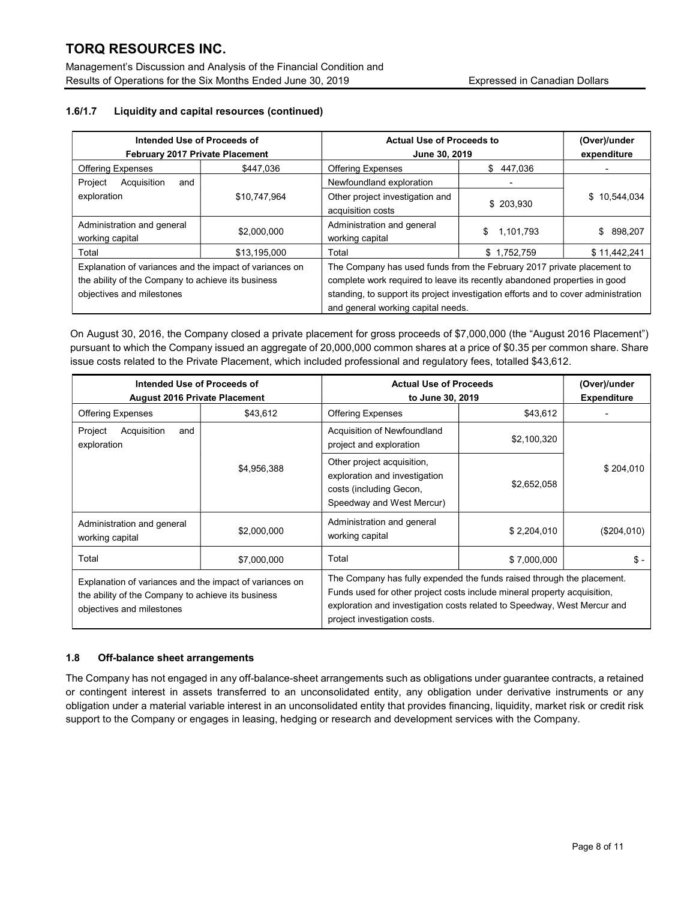Management's Discussion and Analysis of the Financial Condition and Results of Operations for the Six Months Ended June 30, 2019 **Expressed in Canadian Dollars** 

## 1.6/1.7 Liquidity and capital resources (continued)

| Intended Use of Proceeds of<br><b>February 2017 Private Placement</b>                                                                      |              | <b>Actual Use of Proceeds to</b><br>June 30, 2019                                                                                                                                                                                                                               |                 | (Over)/under<br>expenditure |  |
|--------------------------------------------------------------------------------------------------------------------------------------------|--------------|---------------------------------------------------------------------------------------------------------------------------------------------------------------------------------------------------------------------------------------------------------------------------------|-----------------|-----------------------------|--|
| <b>Offering Expenses</b>                                                                                                                   | \$447.036    | <b>Offering Expenses</b><br>\$<br>447.036                                                                                                                                                                                                                                       |                 |                             |  |
| Project<br>Acquisition<br>and                                                                                                              |              | Newfoundland exploration                                                                                                                                                                                                                                                        |                 |                             |  |
| exploration                                                                                                                                | \$10,747,964 | Other project investigation and<br>acquisition costs                                                                                                                                                                                                                            | \$ 203.930      | \$10,544,034                |  |
| Administration and general<br>working capital                                                                                              | \$2,000,000  | Administration and general<br>working capital                                                                                                                                                                                                                                   | 1,101,793<br>\$ | 898,207<br>\$               |  |
| Total                                                                                                                                      | \$13,195,000 | Total                                                                                                                                                                                                                                                                           | \$1,752,759     | \$11,442,241                |  |
| Explanation of variances and the impact of variances on<br>the ability of the Company to achieve its business<br>objectives and milestones |              | The Company has used funds from the February 2017 private placement to<br>complete work required to leave its recently abandoned properties in good<br>standing, to support its project investigation efforts and to cover administration<br>and general working capital needs. |                 |                             |  |

On August 30, 2016, the Company closed a private placement for gross proceeds of \$7,000,000 (the "August 2016 Placement") pursuant to which the Company issued an aggregate of 20,000,000 common shares at a price of \$0.35 per common share. Share issue costs related to the Private Placement, which included professional and regulatory fees, totalled \$43,612.

| Intended Use of Proceeds of<br><b>August 2016 Private Placement</b>                                                                        |             | <b>Actual Use of Proceeds</b><br>to June 30, 2019                                                                                                                                                                                                              |             | (Over)/under<br><b>Expenditure</b> |
|--------------------------------------------------------------------------------------------------------------------------------------------|-------------|----------------------------------------------------------------------------------------------------------------------------------------------------------------------------------------------------------------------------------------------------------------|-------------|------------------------------------|
| <b>Offering Expenses</b>                                                                                                                   | \$43,612    | <b>Offering Expenses</b>                                                                                                                                                                                                                                       | \$43,612    |                                    |
| Acquisition<br>Project<br>and<br>exploration                                                                                               |             | Acquisition of Newfoundland<br>project and exploration                                                                                                                                                                                                         | \$2,100,320 |                                    |
|                                                                                                                                            | \$4,956,388 | Other project acquisition,<br>exploration and investigation<br>costs (including Gecon,<br>Speedway and West Mercur)                                                                                                                                            | \$2,652,058 | \$204,010                          |
| Administration and general<br>working capital                                                                                              | \$2,000,000 | Administration and general<br>working capital                                                                                                                                                                                                                  | \$2,204,010 | (\$204,010)                        |
| Total                                                                                                                                      | \$7,000,000 | Total                                                                                                                                                                                                                                                          | \$7,000,000 | \$-                                |
| Explanation of variances and the impact of variances on<br>the ability of the Company to achieve its business<br>objectives and milestones |             | The Company has fully expended the funds raised through the placement.<br>Funds used for other project costs include mineral property acquisition,<br>exploration and investigation costs related to Speedway, West Mercur and<br>project investigation costs. |             |                                    |

## 1.8 Off-balance sheet arrangements

The Company has not engaged in any off-balance-sheet arrangements such as obligations under guarantee contracts, a retained or contingent interest in assets transferred to an unconsolidated entity, any obligation under derivative instruments or any obligation under a material variable interest in an unconsolidated entity that provides financing, liquidity, market risk or credit risk support to the Company or engages in leasing, hedging or research and development services with the Company.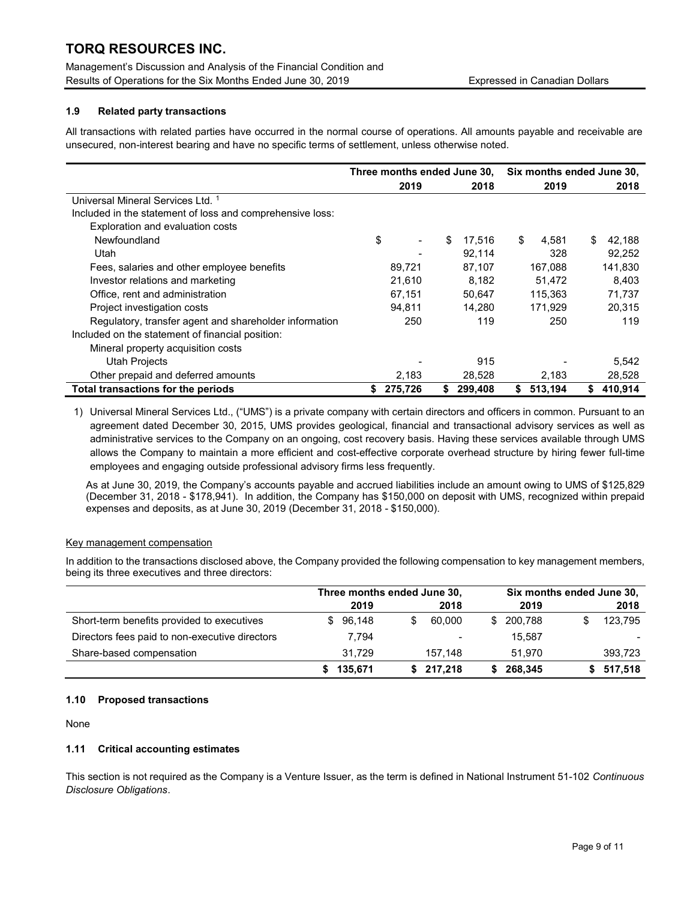Management's Discussion and Analysis of the Financial Condition and Results of Operations for the Six Months Ended June 30, 2019 **Expressed in Canadian Dollars** 

## 1.9 Related party transactions

All transactions with related parties have occurred in the normal course of operations. All amounts payable and receivable are unsecured, non-interest bearing and have no specific terms of settlement, unless otherwise noted.

|                                                           |              | Three months ended June 30, |               | Six months ended June 30, |
|-----------------------------------------------------------|--------------|-----------------------------|---------------|---------------------------|
|                                                           | 2019         | 2018                        | 2019          | 2018                      |
| Universal Mineral Services Ltd. 1                         |              |                             |               |                           |
| Included in the statement of loss and comprehensive loss: |              |                             |               |                           |
| Exploration and evaluation costs                          |              |                             |               |                           |
| Newfoundland                                              | \$           | \$<br>17,516                | \$<br>4.581   | 42,188<br>\$.             |
| Utah                                                      |              | 92,114                      | 328           | 92,252                    |
| Fees, salaries and other employee benefits                | 89,721       | 87,107                      | 167,088       | 141,830                   |
| Investor relations and marketing                          | 21,610       | 8,182                       | 51,472        | 8,403                     |
| Office, rent and administration                           | 67,151       | 50,647                      | 115,363       | 71,737                    |
| Project investigation costs                               | 94.811       | 14.280                      | 171.929       | 20.315                    |
| Regulatory, transfer agent and shareholder information    | 250          | 119                         | 250           | 119                       |
| Included on the statement of financial position:          |              |                             |               |                           |
| Mineral property acquisition costs                        |              |                             |               |                           |
| Utah Projects                                             |              | 915                         |               | 5,542                     |
| Other prepaid and deferred amounts                        | 2,183        | 28,528                      | 2,183         | 28,528                    |
| Total transactions for the periods                        | 275,726<br>S | 299,408<br>S                | 513,194<br>\$ | 410,914<br>S.             |

1) Universal Mineral Services Ltd., ("UMS") is a private company with certain directors and officers in common. Pursuant to an agreement dated December 30, 2015, UMS provides geological, financial and transactional advisory services as well as administrative services to the Company on an ongoing, cost recovery basis. Having these services available through UMS allows the Company to maintain a more efficient and cost-effective corporate overhead structure by hiring fewer full-time employees and engaging outside professional advisory firms less frequently.

As at June 30, 2019, the Company's accounts payable and accrued liabilities include an amount owing to UMS of \$125,829 (December 31, 2018 - \$178,941). In addition, the Company has \$150,000 on deposit with UMS, recognized within prepaid expenses and deposits, as at June 30, 2019 (December 31, 2018 - \$150,000).

## Key management compensation

In addition to the transactions disclosed above, the Company provided the following compensation to key management members, being its three executives and three directors:

|                                                | Three months ended June 30, |             | Six months ended June 30, |           |
|------------------------------------------------|-----------------------------|-------------|---------------------------|-----------|
|                                                | 2019                        | 2018        | 2019                      | 2018      |
| Short-term benefits provided to executives     | 96,148<br>\$.               | 60.000<br>S | 200.788<br>\$.            | 123,795   |
| Directors fees paid to non-executive directors | 7.794                       |             | 15.587                    |           |
| Share-based compensation                       | 31.729                      | 157.148     | 51.970                    | 393,723   |
|                                                | 135,671                     | \$217.218   | 268.345                   | \$517,518 |

## 1.10 Proposed transactions

None

## 1.11 Critical accounting estimates

This section is not required as the Company is a Venture Issuer, as the term is defined in National Instrument 51-102 Continuous Disclosure Obligations.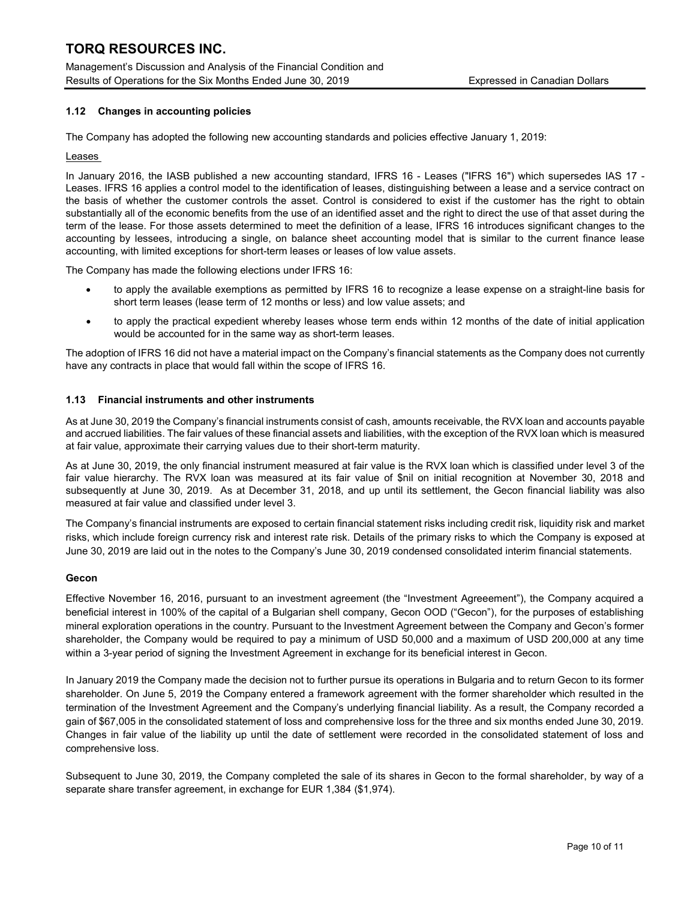Management's Discussion and Analysis of the Financial Condition and Results of Operations for the Six Months Ended June 30, 2019 Expressed in Canadian Dollars

## 1.12 Changes in accounting policies

The Company has adopted the following new accounting standards and policies effective January 1, 2019:

## Leases

In January 2016, the IASB published a new accounting standard, IFRS 16 - Leases ("IFRS 16") which supersedes IAS 17 - Leases. IFRS 16 applies a control model to the identification of leases, distinguishing between a lease and a service contract on the basis of whether the customer controls the asset. Control is considered to exist if the customer has the right to obtain substantially all of the economic benefits from the use of an identified asset and the right to direct the use of that asset during the term of the lease. For those assets determined to meet the definition of a lease, IFRS 16 introduces significant changes to the accounting by lessees, introducing a single, on balance sheet accounting model that is similar to the current finance lease accounting, with limited exceptions for short-term leases or leases of low value assets.

The Company has made the following elections under IFRS 16:

- to apply the available exemptions as permitted by IFRS 16 to recognize a lease expense on a straight-line basis for short term leases (lease term of 12 months or less) and low value assets; and
- to apply the practical expedient whereby leases whose term ends within 12 months of the date of initial application would be accounted for in the same way as short-term leases.

The adoption of IFRS 16 did not have a material impact on the Company's financial statements as the Company does not currently have any contracts in place that would fall within the scope of IFRS 16.

## 1.13 Financial instruments and other instruments

As at June 30, 2019 the Company's financial instruments consist of cash, amounts receivable, the RVX loan and accounts payable and accrued liabilities. The fair values of these financial assets and liabilities, with the exception of the RVX loan which is measured at fair value, approximate their carrying values due to their short-term maturity.

As at June 30, 2019, the only financial instrument measured at fair value is the RVX loan which is classified under level 3 of the fair value hierarchy. The RVX loan was measured at its fair value of \$nil on initial recognition at November 30, 2018 and subsequently at June 30, 2019. As at December 31, 2018, and up until its settlement, the Gecon financial liability was also measured at fair value and classified under level 3.

The Company's financial instruments are exposed to certain financial statement risks including credit risk, liquidity risk and market risks, which include foreign currency risk and interest rate risk. Details of the primary risks to which the Company is exposed at June 30, 2019 are laid out in the notes to the Company's June 30, 2019 condensed consolidated interim financial statements.

## Gecon

Effective November 16, 2016, pursuant to an investment agreement (the "Investment Agreeement"), the Company acquired a beneficial interest in 100% of the capital of a Bulgarian shell company, Gecon OOD ("Gecon"), for the purposes of establishing mineral exploration operations in the country. Pursuant to the Investment Agreement between the Company and Gecon's former shareholder, the Company would be required to pay a minimum of USD 50,000 and a maximum of USD 200,000 at any time within a 3-year period of signing the Investment Agreement in exchange for its beneficial interest in Gecon.

In January 2019 the Company made the decision not to further pursue its operations in Bulgaria and to return Gecon to its former shareholder. On June 5, 2019 the Company entered a framework agreement with the former shareholder which resulted in the termination of the Investment Agreement and the Company's underlying financial liability. As a result, the Company recorded a gain of \$67,005 in the consolidated statement of loss and comprehensive loss for the three and six months ended June 30, 2019. Changes in fair value of the liability up until the date of settlement were recorded in the consolidated statement of loss and comprehensive loss.

Subsequent to June 30, 2019, the Company completed the sale of its shares in Gecon to the formal shareholder, by way of a separate share transfer agreement, in exchange for EUR 1,384 (\$1,974).